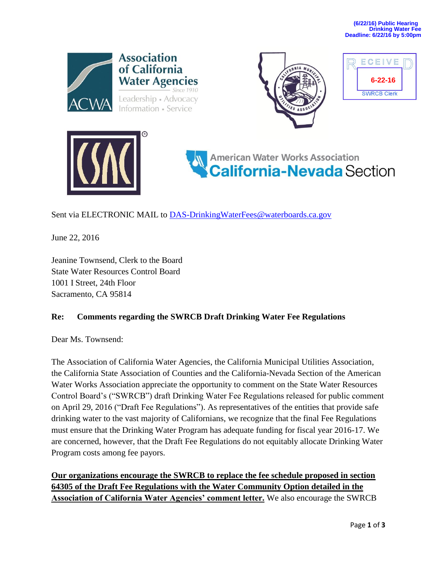



| ECEI<br>V F        |  |
|--------------------|--|
| $6 - 22 - 16$      |  |
| <b>SWRCB Clerk</b> |  |





Sent via ELECTRONIC MAIL to **DAS-DrinkingWaterFees@waterboards.ca.gov** 

June 22, 2016

Jeanine Townsend, Clerk to the Board State Water Resources Control Board 1001 I Street, 24th Floor Sacramento, CA 95814

## **Re: Comments regarding the SWRCB Draft Drinking Water Fee Regulations**

Dear Ms. Townsend:

The Association of California Water Agencies, the California Municipal Utilities Association, the California State Association of Counties and the California-Nevada Section of the American Water Works Association appreciate the opportunity to comment on the State Water Resources Control Board's ("SWRCB") draft Drinking Water Fee Regulations released for public comment on April 29, 2016 ("Draft Fee Regulations"). As representatives of the entities that provide safe drinking water to the vast majority of Californians, we recognize that the final Fee Regulations must ensure that the Drinking Water Program has adequate funding for fiscal year 2016-17. We are concerned, however, that the Draft Fee Regulations do not equitably allocate Drinking Water Program costs among fee payors.

**Our organizations encourage the SWRCB to replace the fee schedule proposed in section 64305 of the Draft Fee Regulations with the Water Community Option detailed in the Association of California Water Agencies' comment letter.** We also encourage the SWRCB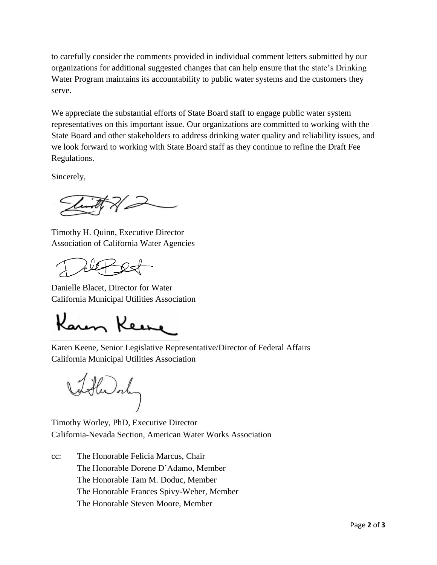to carefully consider the comments provided in individual comment letters submitted by our organizations for additional suggested changes that can help ensure that the state's Drinking Water Program maintains its accountability to public water systems and the customers they serve.

We appreciate the substantial efforts of State Board staff to engage public water system representatives on this important issue. Our organizations are committed to working with the State Board and other stakeholders to address drinking water quality and reliability issues, and we look forward to working with State Board staff as they continue to refine the Draft Fee Regulations.

Sincerely,

Timothy H. Quinn, Executive Director Association of California Water Agencies

Danielle Blacet, Director for Water California Municipal Utilities Association

Karen Keine

Karen Keene, Senior Legislative Representative/Director of Federal Affairs California Municipal Utilities Association

when only

Timothy Worley, PhD, Executive Director California-Nevada Section, American Water Works Association

cc: The Honorable Felicia Marcus, Chair The Honorable Dorene D'Adamo, Member The Honorable Tam M. Doduc, Member The Honorable Frances Spivy-Weber, Member The Honorable Steven Moore, Member